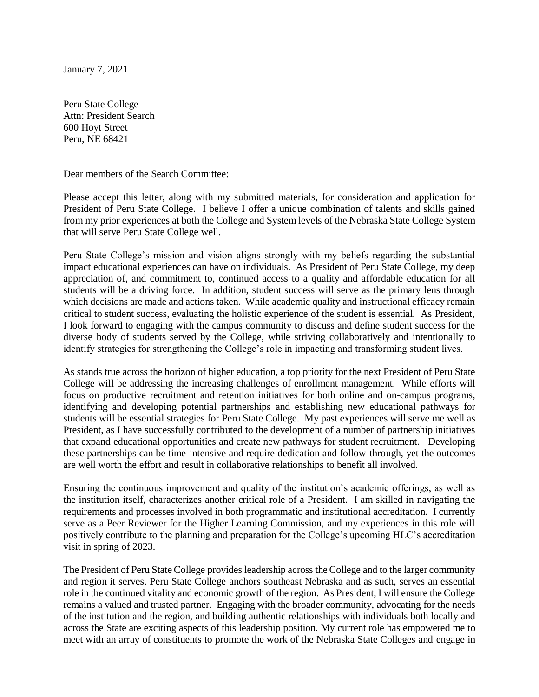January 7, 2021

Peru State College Attn: President Search 600 Hoyt Street Peru, NE 68421

Dear members of the Search Committee:

Please accept this letter, along with my submitted materials, for consideration and application for President of Peru State College. I believe I offer a unique combination of talents and skills gained from my prior experiences at both the College and System levels of the Nebraska State College System that will serve Peru State College well.

Peru State College's mission and vision aligns strongly with my beliefs regarding the substantial impact educational experiences can have on individuals. As President of Peru State College, my deep appreciation of, and commitment to, continued access to a quality and affordable education for all students will be a driving force. In addition, student success will serve as the primary lens through which decisions are made and actions taken. While academic quality and instructional efficacy remain critical to student success, evaluating the holistic experience of the student is essential. As President, I look forward to engaging with the campus community to discuss and define student success for the diverse body of students served by the College, while striving collaboratively and intentionally to identify strategies for strengthening the College's role in impacting and transforming student lives.

As stands true across the horizon of higher education, a top priority for the next President of Peru State College will be addressing the increasing challenges of enrollment management. While efforts will focus on productive recruitment and retention initiatives for both online and on-campus programs, identifying and developing potential partnerships and establishing new educational pathways for students will be essential strategies for Peru State College. My past experiences will serve me well as President, as I have successfully contributed to the development of a number of partnership initiatives that expand educational opportunities and create new pathways for student recruitment. Developing these partnerships can be time-intensive and require dedication and follow-through, yet the outcomes are well worth the effort and result in collaborative relationships to benefit all involved.

Ensuring the continuous improvement and quality of the institution's academic offerings, as well as the institution itself, characterizes another critical role of a President. I am skilled in navigating the requirements and processes involved in both programmatic and institutional accreditation. I currently serve as a Peer Reviewer for the Higher Learning Commission, and my experiences in this role will positively contribute to the planning and preparation for the College's upcoming HLC's accreditation visit in spring of 2023.

The President of Peru State College provides leadership across the College and to the larger community and region it serves. Peru State College anchors southeast Nebraska and as such, serves an essential role in the continued vitality and economic growth of the region. As President, I will ensure the College remains a valued and trusted partner. Engaging with the broader community, advocating for the needs of the institution and the region, and building authentic relationships with individuals both locally and across the State are exciting aspects of this leadership position. My current role has empowered me to meet with an array of constituents to promote the work of the Nebraska State Colleges and engage in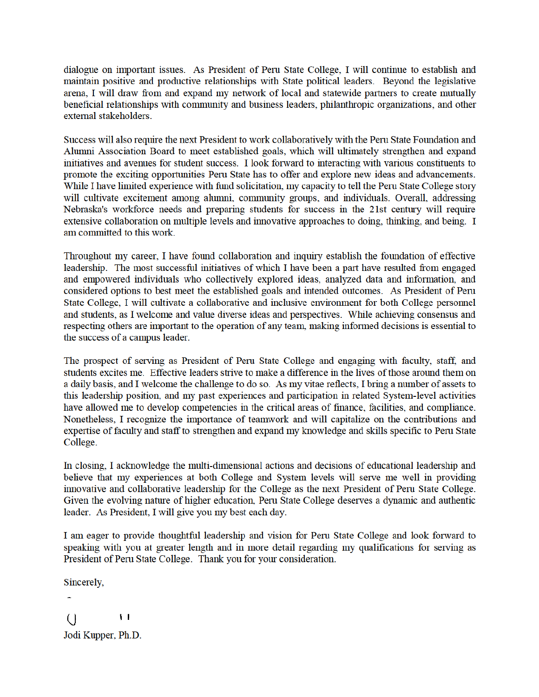dialogue on important issues. As President of Peru State College, I will continue to establish and maintain positive and productive relationships with State political leaders. Beyond the legislative arena, I will draw from and expand my network of local and statewide partners to create mutually beneficial relationships with community and business leaders, philanthropic organizations, and other external stakeholders.

Success will also require the next President to work collaboratively with the Peru State Foundation and Alumni Association Board to meet established goals, which will ultimately strengthen and expand initiatives and avenues for student success. I look forward to interacting with various constituents to promote the exciting opportunities Peru State has to offer and explore new ideas and advancements. While I have limited experience with fund solicitation, my capacity to tell the Peru State College story will cultivate excitement among alumni, community groups, and individuals. Overall, addressing Nebraska's workforce needs and preparing students for success in the 21st century will require extensive collaboration on multiple levels and innovative approaches to doing, thinking, and being. I am committed to this work.

Throughout my career, I have found collaboration and inquiry establish the foundation of effective leadership. The most successful initiatives of which I have been a part have resulted from engaged and empowered individuals who collectively explored ideas, analyzed data and information, and considered options to best meet the established goals and intended outcomes. As President of Peru State College, I will cultivate a collaborative and inclusive environment for both College personnel and students, as I welcome and value diverse ideas and perspectives. While achieving consensus and respecting others are important to the operation of any team, making informed decisions is essential to the success of a campus leader.

The prospect of serving as President of Peru State College and engaging with faculty, staff, and students excites me. Effective leaders strive to make a difference in the lives of those around them on a daily basis, and I welcome the challenge to do so. As my vitae reflects, I bring a number of assets to this leadership position, and my past experiences and participation in related System-level activities have allowed me to develop competencies in the critical areas of finance, facilities, and compliance. Nonetheless, I recognize the importance of teamwork and will capitalize on the contributions and expertise of faculty and staff to strengthen and expand my knowledge and skills specific to Peru State College.

In closing, I acknowledge the multi-dimensional actions and decisions of educational leadership and believe that my experiences at both College and System levels will serve me well in providing innovative and collaborative leadership for the College as the next President of Peru State College. Given the evolving nature of higher education, Peru State College deserves a dynamic and authentic leader. As President, I will give you my best each day.

I am eager to provide thoughtful leadership and vision for Peru State College and look forward to speaking with you at greater length and in more detail regarding my qualifications for serving as President of Peru State College. Thank you for your consideration.

Sincerely,

 $\mathbf{H}$  $\left( \right)$ 

Jodi Kupper, Ph.D.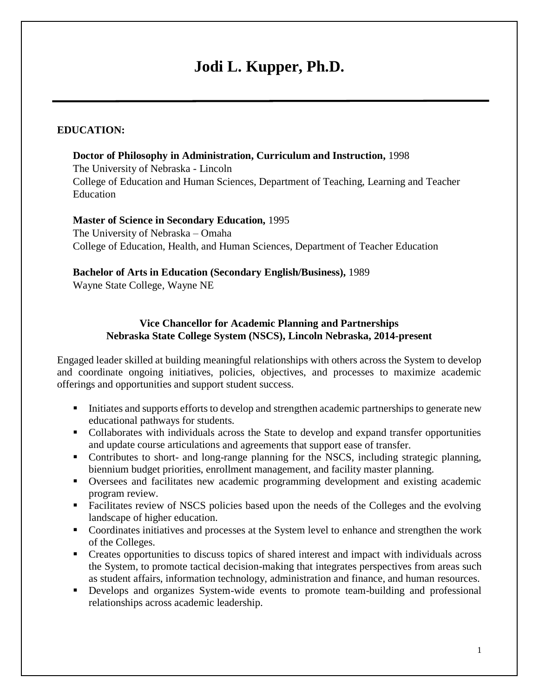# **Jodi L. Kupper, Ph.D.**

#### **EDUCATION:**

**Doctor of Philosophy in Administration, Curriculum and Instruction,** 1998 The University of Nebraska - Lincoln College of Education and Human Sciences, Department of Teaching, Learning and Teacher Education

#### **Master of Science in Secondary Education,** 1995 The University of Nebraska – Omaha College of Education, Health, and Human Sciences, Department of Teacher Education

#### **Bachelor of Arts in Education (Secondary English/Business),** 1989

Wayne State College, Wayne NE

#### **Vice Chancellor for Academic Planning and Partnerships Nebraska State College System (NSCS), Lincoln Nebraska, 2014-present**

Engaged leader skilled at building meaningful relationships with others across the System to develop and coordinate ongoing initiatives, policies, objectives, and processes to maximize academic offerings and opportunities and support student success.

- Initiates and supports efforts to develop and strengthen academic partnerships to generate new educational pathways for students.
- Collaborates with individuals across the State to develop and expand transfer opportunities and update course articulations and agreements that support ease of transfer.
- Contributes to short- and long-range planning for the NSCS, including strategic planning, biennium budget priorities, enrollment management, and facility master planning.
- Oversees and facilitates new academic programming development and existing academic program review.
- Facilitates review of NSCS policies based upon the needs of the Colleges and the evolving landscape of higher education.
- Coordinates initiatives and processes at the System level to enhance and strengthen the work of the Colleges.
- Creates opportunities to discuss topics of shared interest and impact with individuals across the System, to promote tactical decision-making that integrates perspectives from areas such as student affairs, information technology, administration and finance, and human resources.
- Develops and organizes System-wide events to promote team-building and professional relationships across academic leadership.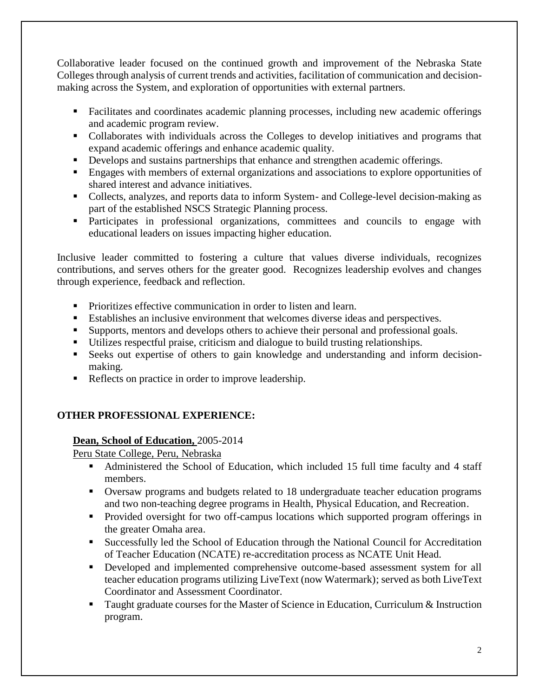Collaborative leader focused on the continued growth and improvement of the Nebraska State Colleges through analysis of current trends and activities, facilitation of communication and decisionmaking across the System, and exploration of opportunities with external partners.

- Facilitates and coordinates academic planning processes, including new academic offerings and academic program review.
- Collaborates with individuals across the Colleges to develop initiatives and programs that expand academic offerings and enhance academic quality.
- Develops and sustains partnerships that enhance and strengthen academic offerings.
- **Engages with members of external organizations and associations to explore opportunities of** shared interest and advance initiatives.
- Collects, analyzes, and reports data to inform System- and College-level decision-making as part of the established NSCS Strategic Planning process.
- Participates in professional organizations, committees and councils to engage with educational leaders on issues impacting higher education.

Inclusive leader committed to fostering a culture that values diverse individuals, recognizes contributions, and serves others for the greater good. Recognizes leadership evolves and changes through experience, feedback and reflection.

- **Prioritizes effective communication in order to listen and learn.**
- Establishes an inclusive environment that welcomes diverse ideas and perspectives.
- Supports, mentors and develops others to achieve their personal and professional goals.
- Utilizes respectful praise, criticism and dialogue to build trusting relationships.
- Seeks out expertise of others to gain knowledge and understanding and inform decisionmaking.
- Reflects on practice in order to improve leadership.

## **OTHER PROFESSIONAL EXPERIENCE:**

## **Dean, School of Education,** 2005-2014

Peru State College, Peru, Nebraska

- Administered the School of Education, which included 15 full time faculty and 4 staff members.
- Oversaw programs and budgets related to 18 undergraduate teacher education programs and two non-teaching degree programs in Health, Physical Education, and Recreation.
- Provided oversight for two off-campus locations which supported program offerings in the greater Omaha area.
- Successfully led the School of Education through the National Council for Accreditation of Teacher Education (NCATE) re-accreditation process as NCATE Unit Head.
- Developed and implemented comprehensive outcome-based assessment system for all teacher education programs utilizing LiveText (now Watermark); served as both LiveText Coordinator and Assessment Coordinator.
- Taught graduate courses for the Master of Science in Education, Curriculum & Instruction program.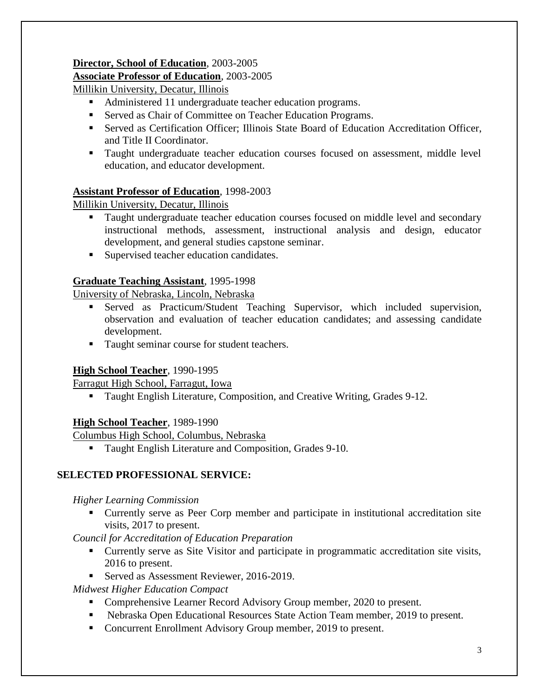## **Director, School of Education**, 2003-2005

### **Associate Professor of Education**, 2003-2005

Millikin University, Decatur, Illinois

- Administered 11 undergraduate teacher education programs.
- Served as Chair of Committee on Teacher Education Programs.
- Served as Certification Officer; Illinois State Board of Education Accreditation Officer, and Title II Coordinator.
- Taught undergraduate teacher education courses focused on assessment, middle level education, and educator development.

## **Assistant Professor of Education**, 1998-2003

Millikin University, Decatur, Illinois

- **Taught undergraduate teacher education courses focused on middle level and secondary** instructional methods, assessment, instructional analysis and design, educator development, and general studies capstone seminar.
- Supervised teacher education candidates.

## **Graduate Teaching Assistant**, 1995-1998

University of Nebraska, Lincoln, Nebraska

- Served as Practicum/Student Teaching Supervisor, which included supervision, observation and evaluation of teacher education candidates; and assessing candidate development.
- Taught seminar course for student teachers.

#### **High School Teacher**, 1990-1995

Farragut High School, Farragut, Iowa

**Taught English Literature, Composition, and Creative Writing, Grades 9-12.** 

#### **High School Teacher**, 1989-1990

Columbus High School, Columbus, Nebraska

**Taught English Literature and Composition, Grades 9-10.** 

## **SELECTED PROFESSIONAL SERVICE:**

#### *Higher Learning Commission*

 Currently serve as Peer Corp member and participate in institutional accreditation site visits, 2017 to present.

*Council for Accreditation of Education Preparation* 

- Currently serve as Site Visitor and participate in programmatic accreditation site visits, 2016 to present.
- Served as Assessment Reviewer, 2016-2019.

*Midwest Higher Education Compact* 

- Comprehensive Learner Record Advisory Group member, 2020 to present.
- Nebraska Open Educational Resources State Action Team member, 2019 to present.
- Concurrent Enrollment Advisory Group member, 2019 to present.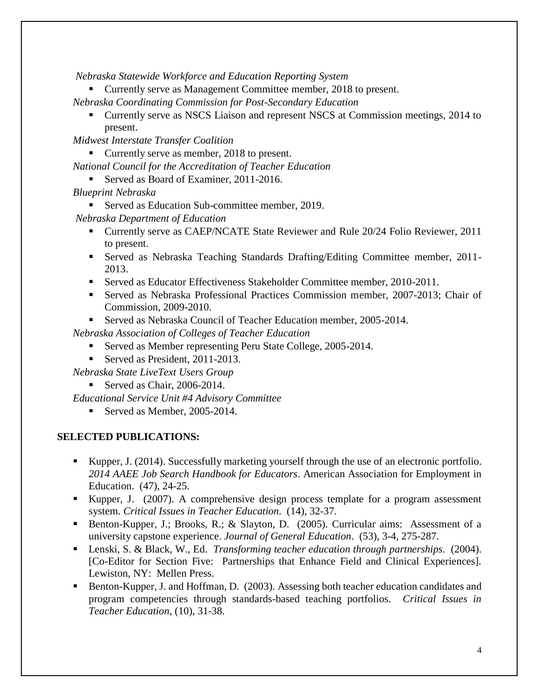*Nebraska Statewide Workforce and Education Reporting System* 

Currently serve as Management Committee member, 2018 to present.

*Nebraska Coordinating Commission for Post-Secondary Education* 

 Currently serve as NSCS Liaison and represent NSCS at Commission meetings, 2014 to present.

*Midwest Interstate Transfer Coalition* 

■ Currently serve as member, 2018 to present.

*National Council for the Accreditation of Teacher Education* 

Served as Board of Examiner, 2011-2016.

*Blueprint Nebraska* 

■ Served as Education Sub-committee member, 2019.

*Nebraska Department of Education* 

- Currently serve as CAEP/NCATE State Reviewer and Rule 20/24 Folio Reviewer, 2011 to present.
- Served as Nebraska Teaching Standards Drafting/Editing Committee member, 2011- 2013.
- Served as Educator Effectiveness Stakeholder Committee member, 2010-2011.
- Served as Nebraska Professional Practices Commission member, 2007-2013; Chair of Commission, 2009-2010.
- Served as Nebraska Council of Teacher Education member, 2005-2014.

*Nebraska Association of Colleges of Teacher Education* 

- Served as Member representing Peru State College, 2005-2014.
- Served as President, 2011-2013.

*Nebraska State LiveText Users Group* 

Served as Chair, 2006-2014.

*Educational Service Unit #4 Advisory Committee* 

Served as Member,  $2005-2014$ .

## **SELECTED PUBLICATIONS:**

- Kupper, J. (2014). Successfully marketing yourself through the use of an electronic portfolio. *2014 AAEE Job Search Handbook for Educators*. American Association for Employment in Education. (47), 24-25.
- Kupper, J. (2007). A comprehensive design process template for a program assessment system. *Critical Issues in Teacher Education*. (14), 32-37.
- Benton-Kupper, J.; Brooks, R.; & Slayton, D. (2005). Curricular aims: Assessment of a university capstone experience. *Journal of General Education*. (53), 3-4, 275-287.
- Lenski, S. & Black, W., Ed. *Transforming teacher education through partnerships*. (2004). [Co-Editor for Section Five: Partnerships that Enhance Field and Clinical Experiences]. Lewiston, NY: Mellen Press.
- Benton-Kupper, J. and Hoffman, D. (2003). Assessing both teacher education candidates and program competencies through standards-based teaching portfolios. *Critical Issues in Teacher Education*, (10), 31-38.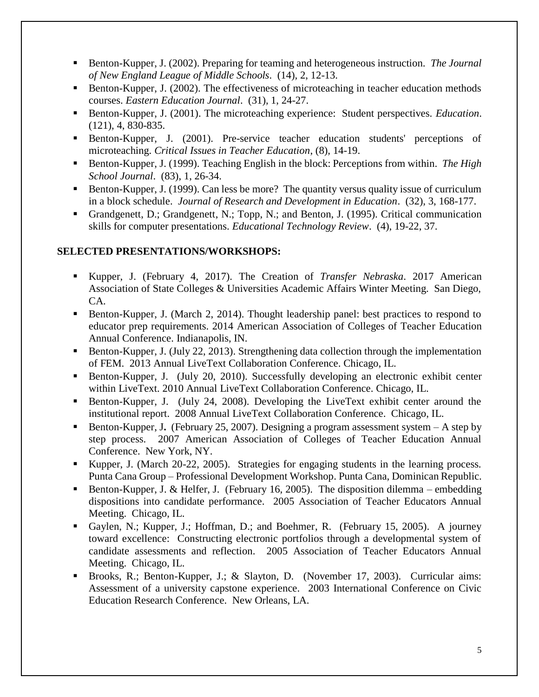- Benton-Kupper, J. (2002). Preparing for teaming and heterogeneous instruction. *The Journal of New England League of Middle Schools*. (14), 2, 12-13.
- Benton-Kupper, J. (2002). The effectiveness of microteaching in teacher education methods courses. *Eastern Education Journal*. (31), 1, 24-27.
- Benton-Kupper, J. (2001). The microteaching experience: Student perspectives. *Education*. (121), 4, 830-835.
- Benton-Kupper, J. (2001). Pre-service teacher education students' perceptions of microteaching. *Critical Issues in Teacher Education*, (8), 14-19.
- Benton-Kupper, J. (1999). Teaching English in the block: Perceptions from within. *The High School Journal*. (83), 1, 26-34.
- Benton-Kupper, J. (1999). Can less be more? The quantity versus quality issue of curriculum in a block schedule. *Journal of Research and Development in Education*. (32), 3, 168-177.
- Grandgenett, D.; Grandgenett, N.; Topp, N.; and Benton, J. (1995). Critical communication skills for computer presentations. *Educational Technology Review*. (4), 19-22, 37.

#### **SELECTED PRESENTATIONS/WORKSHOPS:**

- Kupper, J. (February 4, 2017). The Creation of *Transfer Nebraska*. 2017 American Association of State Colleges & Universities Academic Affairs Winter Meeting. San Diego, CA.
- **Benton-Kupper, J. (March 2, 2014). Thought leadership panel: best practices to respond to** educator prep requirements. 2014 American Association of Colleges of Teacher Education Annual Conference. Indianapolis, IN.
- Benton-Kupper, J. (July 22, 2013). Strengthening data collection through the implementation of FEM. 2013 Annual LiveText Collaboration Conference. Chicago, IL.
- Benton-Kupper, J. (July 20, 2010). Successfully developing an electronic exhibit center within LiveText. 2010 Annual LiveText Collaboration Conference. Chicago, IL.
- Benton-Kupper, J. (July 24, 2008). Developing the LiveText exhibit center around the institutional report. 2008 Annual LiveText Collaboration Conference. Chicago, IL.
- Benton-Kupper, J**.** (February 25, 2007). Designing a program assessment system A step by step process. 2007 American Association of Colleges of Teacher Education Annual Conference. New York, NY.
- Kupper, J. (March 20-22, 2005). Strategies for engaging students in the learning process. Punta Cana Group – Professional Development Workshop. Punta Cana, Dominican Republic.
- Benton-Kupper, J. & Helfer, J. (February 16, 2005). The disposition dilemma embedding dispositions into candidate performance. 2005 Association of Teacher Educators Annual Meeting. Chicago, IL.
- Gaylen, N.; Kupper, J.; Hoffman, D.; and Boehmer, R. (February 15, 2005). A journey toward excellence: Constructing electronic portfolios through a developmental system of candidate assessments and reflection. 2005 Association of Teacher Educators Annual Meeting. Chicago, IL.
- Brooks, R.; Benton-Kupper, J.; & Slayton, D. (November 17, 2003). Curricular aims: Assessment of a university capstone experience. 2003 International Conference on Civic Education Research Conference. New Orleans, LA.